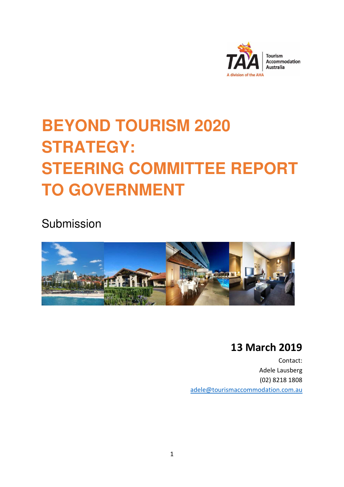

# **BEYOND TOURISM 2020 STRATEGY: STEERING COMMITTEE REPORT TO GOVERNMENT**

Submission



# **13 March 2019**

**Contact: Contact: Contact: Contact: Contact: Contact: Contact: Contact: Contact: Contact: Contact: Contact: Contact: Contact: Contact: Contact: Contact: Contact: Contact: Contact: C** Adele Lausberg (02) 8218 1808 adele@tourismaccommodation.com.au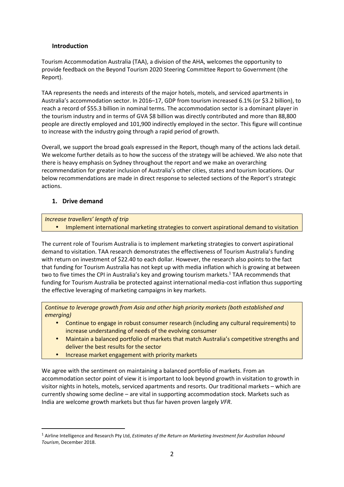# **Introduction**

Tourism Accommodation Australia (TAA), a division of the AHA, welcomes the opportunity to provide feedback on the Beyond Tourism 2020 Steering Committee Report to Government (the Report).

TAA represents the needs and interests of the major hotels, motels, and serviced apartments in Australia's accommodation sector. In 2016–17, GDP from tourism increased 6.1% (or \$3.2 billion), to reach a record of \$55.3 billion in nominal terms. The accommodation sector is a dominant player in the tourism industry and in terms of GVA \$8 billion was directly contributed and more than 88,800 people are directly employed and 101,900 indirectly employed in the sector. This figure will continue to increase with the industry going through a rapid period of growth.

Overall, we support the broad goals expressed in the Report, though many of the actions lack detail. We welcome further details as to how the success of the strategy will be achieved. We also note that there is heavy emphasis on Sydney throughout the report and we make an overarching recommendation for greater inclusion of Australia's other cities, states and tourism locations. Our below recommendations are made in direct response to selected sections of the Report's strategic actions.

# **1. Drive demand**

l

## *Increase travellers' length of trip*

• Implement international marketing strategies to convert aspirational demand to visitation

The current role of Tourism Australia is to implement marketing strategies to convert aspirational demand to visitation. TAA research demonstrates the effectiveness of Tourism Australia's funding with return on investment of \$22.40 to each dollar. However, the research also points to the fact that funding for Tourism Australia has not kept up with media inflation which is growing at between two to five times the CPI in Australia's key and growing tourism markets.<sup>1</sup> TAA recommends that funding for Tourism Australia be protected against international media-cost inflation thus supporting the effective leveraging of marketing campaigns in key markets.

*Continue to leverage growth from Asia and other high priority markets (both established and emerging)* 

- Continue to engage in robust consumer research (including any cultural requirements) to increase understanding of needs of the evolving consumer
- Maintain a balanced portfolio of markets that match Australia's competitive strengths and deliver the best results for the sector
- Increase market engagement with priority markets

We agree with the sentiment on maintaining a balanced portfolio of markets. From an accommodation sector point of view it is important to look beyond growth in visitation to growth in visitor nights in hotels, motels, serviced apartments and resorts. Our traditional markets – which are currently showing some decline – are vital in supporting accommodation stock. Markets such as India are welcome growth markets but thus far haven proven largely *VFR*.

<sup>1</sup> Airline Intelligence and Research Pty Ltd, *Estimates of the Return on Marketing Investment for Australian Inbound Tourism*, December 2018.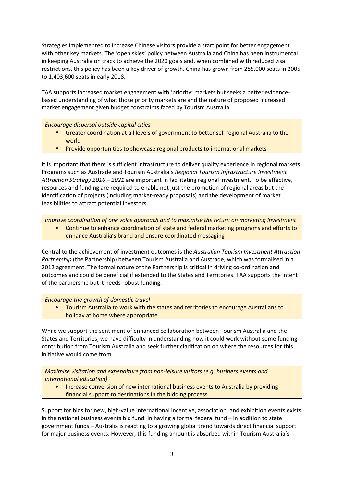Strategies implemented to increase Chinese visitors provide a start point for better engagement with other key markets. The 'open skies' policy between Australia and China has been instrumental in keeping Australia on track to achieve the 2020 goals and, when combined with reduced visa restrictions, this policy has been a key driver of growth. China has grown from 285,000 seats in 2005 to 1,403,600 seats in early 2018.

TAA supports increased market engagement with 'priority' markets but seeks a better evidencebased understanding of what those priority markets are and the nature of proposed increased market engagement given budget constraints faced by Tourism Australia.

*Encourage dispersal outside capital cities* 

- Greater coordination at all levels of government to better sell regional Australia to the world
- Provide opportunities to showcase regional products to international markets

It is important that there is sufficient infrastructure to deliver quality experience in regional markets. Programs such as Austrade and Tourism Australia's *Regional Tourism Infrastructure Investment Attraction Strategy 2016 – 2021* are important in facilitating regional investment. To be effective, resources and funding are required to enable not just the promotion of regional areas but the identification of projects (including market-ready proposals) and the development of market feasibilities to attract potential investors.

*Improve coordination of one voice approach and to maximise the return on marketing investment* • Continue to enhance coordination of state and federal marketing programs and efforts to enhance Australia's brand and ensure coordinated messaging

Central to the achievement of investment outcomes is the *Australian Tourism Investment Attraction Partnership* (the Partnership) between Tourism Australia and Austrade, which was formalised in a 2012 agreement. The formal nature of the Partnership is critical in driving co-ordination and outcomes and could be beneficial if extended to the States and Territories. TAA supports the intent of the partnership but it needs robust funding.

*Encourage the growth of domestic travel* 

• Tourism Australia to work with the states and territories to encourage Australians to holiday at home where appropriate

While we support the sentiment of enhanced collaboration between Tourism Australia and the States and Territories, we have difficulty in understanding how it could work without some funding contribution from Tourism Australia and seek further clarification on where the resources for this initiative would come from.

*Maximise visitation and expenditure from non-leisure visitors (e.g. business events and international education)* 

• Increase conversion of new international business events to Australia by providing financial support to destinations in the bidding process

Support for bids for new, high-value international incentive, association, and exhibition events exists in the national business events bid fund. In having a formal federal fund – in addition to state government funds – Australia is reacting to a growing global trend towards direct financial support for major business events. However, this funding amount is absorbed within Tourism Australia's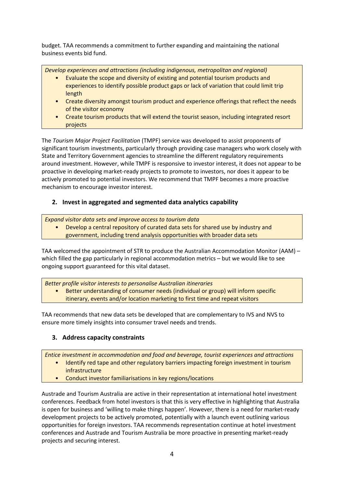budget. TAA recommends a commitment to further expanding and maintaining the national business events bid fund.

*Develop experiences and attractions (including indigenous, metropolitan and regional)* 

- Evaluate the scope and diversity of existing and potential tourism products and experiences to identify possible product gaps or lack of variation that could limit trip length
- Create diversity amongst tourism product and experience offerings that reflect the needs of the visitor economy
- Create tourism products that will extend the tourist season, including integrated resort projects

The *Tourism Major Project Facilitation* (TMPF) service was developed to assist proponents of significant tourism investments, particularly through providing case managers who work closely with State and Territory Government agencies to streamline the different regulatory requirements around investment. However, while TMPF is responsive to investor interest, it does not appear to be proactive in developing market-ready projects to promote to investors, nor does it appear to be actively promoted to potential investors. We recommend that TMPF becomes a more proactive mechanism to encourage investor interest.

# **2. Invest in aggregated and segmented data analytics capability**

*Expand visitor data sets and improve access to tourism data* 

• Develop a central repository of curated data sets for shared use by industry and government, including trend analysis opportunities with broader data sets

TAA welcomed the appointment of STR to produce the Australian Accommodation Monitor (AAM) – which filled the gap particularly in regional accommodation metrics – but we would like to see ongoing support guaranteed for this vital dataset.

*Better profile visitor interests to personalise Australian itineraries* 

• Better understanding of consumer needs (individual or group) will inform specific itinerary, events and/or location marketing to first time and repeat visitors

TAA recommends that new data sets be developed that are complementary to IVS and NVS to ensure more timely insights into consumer travel needs and trends.

# **3. Address capacity constraints**

*Entice investment in accommodation and food and beverage, tourist experiences and attractions* 

- Identify red tape and other regulatory barriers impacting foreign investment in tourism infrastructure
- Conduct investor familiarisations in key regions/locations

Austrade and Tourism Australia are active in their representation at international hotel investment conferences. Feedback from hotel investors is that this is very effective in highlighting that Australia is open for business and 'willing to make things happen'. However, there is a need for market-ready development projects to be actively promoted, potentially with a launch event outlining various opportunities for foreign investors. TAA recommends representation continue at hotel investment conferences and Austrade and Tourism Australia be more proactive in presenting market-ready projects and securing interest.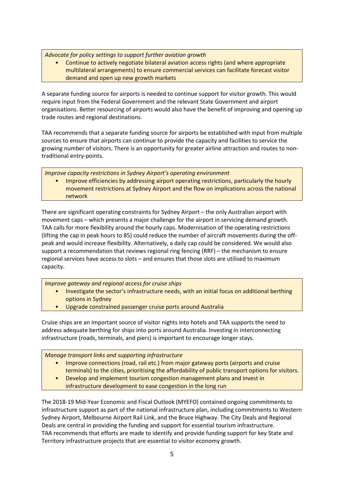*Advocate for policy settings to support further aviation growth* 

• Continue to actively negotiate bilateral aviation access rights (and where appropriate multilateral arrangements) to ensure commercial services can facilitate forecast visitor demand and open up new growth markets

A separate funding source for airports is needed to continue support for visitor growth. This would require input from the Federal Government and the relevant State Government and airport organisations. Better resourcing of airports would also have the benefit of improving and opening up trade routes and regional destinations.

TAA recommends that a separate funding source for airports be established with input from multiple sources to ensure that airports can continue to provide the capacity and facilities to service the growing number of visitors. There is an opportunity for greater airline attraction and routes to nontraditional entry-points.

*Improve capacity restrictions in Sydney Airport's operating environment*  • Improve efficiencies by addressing airport operating restrictions, particularly the hourly movement restrictions at Sydney Airport and the flow on implications across the national network

There are significant operating constraints for Sydney Airport – the only Australian airport with movement caps – which presents a major challenge for the airport in servicing demand growth. TAA calls for more flexibility around the hourly caps. Modernisation of the operating restrictions (lifting the cap in peak hours to 85) could reduce the number of aircraft movements during the offpeak and would increase flexibility. Alternatively, a daily cap could be considered. We would also support a recommendation that reviews regional ring fencing (RRF) – the mechanism to ensure regional services have access to slots – and ensures that those slots are utilised to maximum capacity.

*Improve gateway and regional access for cruise ships*

- Investigate the sector's infrastructure needs, with an initial focus on additional berthing options in Sydney
- Upgrade constrained passenger cruise ports around Australia

Cruise ships are an important source of visitor nights into hotels and TAA supports the need to address adequate berthing for ships into ports around Australia. Investing in interconnecting infrastructure (roads, terminals, and piers) is important to encourage longer stays.

*Manage transport links and supporting infrastructure*

- Improve connections (road, rail etc.) from major gateway ports (airports and cruise terminals) to the cities, prioritising the affordability of public transport options for visitors.
- Develop and implement tourism congestion management plans and invest in infrastructure development to ease congestion in the long run

The 2018-19 Mid-Year Economic and Fiscal Outlook (MYEFO) contained ongoing commitments to infrastructure support as part of the national infrastructure plan, including commitments to Western Sydney Airport, Melbourne Airport Rail Link, and the Bruce Highway. The City Deals and Regional Deals are central in providing the funding and support for essential tourism infrastructure. TAA recommends that efforts are made to identify and provide funding support for key State and Territory infrastructure projects that are essential to visitor economy growth.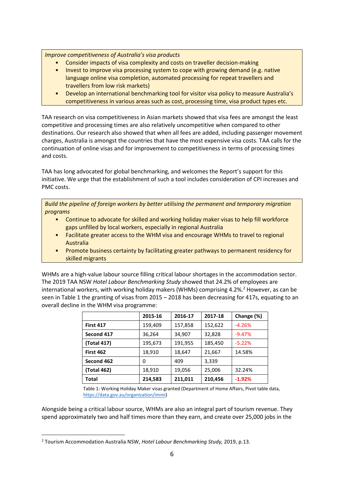*Improve competitiveness of Australia's visa products* 

- Consider impacts of visa complexity and costs on traveller decision-making
- Invest to improve visa processing system to cope with growing demand (e.g. native language online visa completion, automated processing for repeat travellers and travellers from low risk markets)
- Develop an international benchmarking tool for visitor visa policy to measure Australia's competitiveness in various areas such as cost, processing time, visa product types etc.

TAA research on visa competitiveness in Asian markets showed that visa fees are amongst the least competitive and processing times are also relatively uncompetitive when compared to other destinations. Our research also showed that when all fees are added, including passenger movement charges, Australia is amongst the countries that have the most expensive visa costs. TAA calls for the continuation of online visas and for improvement to competitiveness in terms of processing times and costs.

TAA has long advocated for global benchmarking, and welcomes the Report's support for this initiative. We urge that the establishment of such a tool includes consideration of CPI increases and PMC costs.

*Build the pipeline of foreign workers by better utilising the permanent and temporary migration programs* 

- Continue to advocate for skilled and working holiday maker visas to help fill workforce gaps unfilled by local workers, especially in regional Australia
- Facilitate greater access to the WHM visa and encourage WHMs to travel to regional Australia
- Promote business certainty by facilitating greater pathways to permanent residency for skilled migrants

WHMs are a high-value labour source filling critical labour shortages in the accommodation sector. The 2019 TAA NSW *Hotel Labour Benchmarking Study* showed that 24.2% of employees are international workers, with working holiday makers (WHMs) comprising 4.2%.<sup>2</sup> However, as can be seen in Table 1 the granting of visas from 2015 – 2018 has been decreasing for 417s, equating to an overall decline in the WHM visa programme:

|                  | 2015-16 | 2016-17 | 2017-18 | Change (%) |
|------------------|---------|---------|---------|------------|
| <b>First 417</b> | 159,409 | 157,858 | 152,622 | $-4.26%$   |
| Second 417       | 36,264  | 34,907  | 32,828  | $-9.47%$   |
| (Total 417)      | 195,673 | 191,955 | 185,450 | $-5.22%$   |
| <b>First 462</b> | 18,910  | 18,647  | 21,667  | 14.58%     |
| Second 462       | 0       | 409     | 3,339   |            |
| (Total 462)      | 18,910  | 19,056  | 25,006  | 32.24%     |
| <b>Total</b>     | 214,583 | 211.011 | 210,456 | $-1.92%$   |

Table 1: Working Holiday Maker visas granted (Department of Home Affairs, Pivot table data, https://data.gov.au/organization/immi)

Alongside being a critical labour source, WHMs are also an integral part of tourism revenue. They spend approximately two and half times more than they earn, and create over 25,000 jobs in the

l

<sup>2</sup> Tourism Accommodation Australia NSW, *Hotel Labour Benchmarking Study,* 2019, p.13.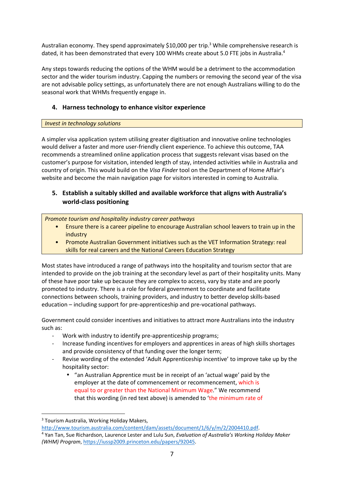Australian economy. They spend approximately \$10,000 per trip.<sup>3</sup> While comprehensive research is dated, it has been demonstrated that every 100 WHMs create about 5.0 FTE jobs in Australia.<sup>4</sup>

Any steps towards reducing the options of the WHM would be a detriment to the accommodation sector and the wider tourism industry. Capping the numbers or removing the second year of the visa are not advisable policy settings, as unfortunately there are not enough Australians willing to do the seasonal work that WHMs frequently engage in.

# **4. Harness technology to enhance visitor experience**

## *Invest in technology solutions*

A simpler visa application system utilising greater digitisation and innovative online technologies would deliver a faster and more user-friendly client experience. To achieve this outcome, TAA recommends a streamlined online application process that suggests relevant visas based on the customer's purpose for visitation, intended length of stay, intended activities while in Australia and country of origin. This would build on the *Visa Finder* tool on the Department of Home Affair's website and become the main navigation page for visitors interested in coming to Australia.

# **5. Establish a suitably skilled and available workforce that aligns with Australia's world-class positioning**

*Promote tourism and hospitality industry career pathways* 

- Ensure there is a career pipeline to encourage Australian school leavers to train up in the industry
- Promote Australian Government initiatives such as the VET Information Strategy: real skills for real careers and the National Careers Education Strategy

Most states have introduced a range of pathways into the hospitality and tourism sector that are intended to provide on the job training at the secondary level as part of their hospitality units. Many of these have poor take up because they are complex to access, vary by state and are poorly promoted to industry. There is a role for federal government to coordinate and facilitate connections between schools, training providers, and industry to better develop skills-based education – including support for pre-apprenticeship and pre-vocational pathways.

Government could consider incentives and initiatives to attract more Australians into the industry such as:

- Work with industry to identify pre-apprenticeship programs;
- Increase funding incentives for employers and apprentices in areas of high skills shortages and provide consistency of that funding over the longer term;
- Revise wording of the extended 'Adult Apprenticeship incentive' to improve take up by the hospitality sector:
	- "an Australian Apprentice must be in receipt of an 'actual wage' paid by the employer at the date of commencement or recommencement, which is equal to or greater than the National Minimum Wage." We recommend that this wording (in red text above) is amended to 'the minimum rate of

l

<sup>&</sup>lt;sup>3</sup> Tourism Australia, Working Holiday Makers,

http://www.tourism.australia.com/content/dam/assets/document/1/6/y/m/2/2004410.pdf. 4 Yan Tan, Sue Richardson, Laurence Lester and Lulu Sun, *Evaluation of Australia's Working Holiday Maker (WHM) Program*, https://iussp2009.princeton.edu/papers/92045.